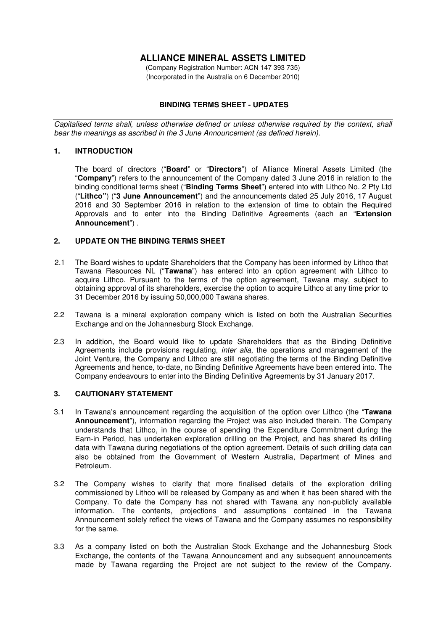# **ALLIANCE MINERAL ASSETS LIMITED**

(Company Registration Number: ACN 147 393 735) (Incorporated in the Australia on 6 December 2010)

## **BINDING TERMS SHEET - UPDATES**

*Capitalised terms shall, unless otherwise defined or unless otherwise required by the context, shall bear the meanings as ascribed in the 3 June Announcement (as defined herein).* 

#### **1. INTRODUCTION**

The board of directors ("**Board**" or "**Directors**") of Alliance Mineral Assets Limited (the "**Company**") refers to the announcement of the Company dated 3 June 2016 in relation to the binding conditional terms sheet ("**Binding Terms Sheet**") entered into with Lithco No. 2 Pty Ltd ("**Lithco"**) ("**3 June Announcement**") and the announcements dated 25 July 2016, 17 August 2016 and 30 September 2016 in relation to the extension of time to obtain the Required Approvals and to enter into the Binding Definitive Agreements (each an "**Extension Announcement**") .

#### **2. UPDATE ON THE BINDING TERMS SHEET**

- 2.1 The Board wishes to update Shareholders that the Company has been informed by Lithco that Tawana Resources NL ("**Tawana**") has entered into an option agreement with Lithco to acquire Lithco. Pursuant to the terms of the option agreement, Tawana may, subject to obtaining approval of its shareholders, exercise the option to acquire Lithco at any time prior to 31 December 2016 by issuing 50,000,000 Tawana shares.
- 2.2 Tawana is a mineral exploration company which is listed on both the Australian Securities Exchange and on the Johannesburg Stock Exchange.
- 2.3 In addition, the Board would like to update Shareholders that as the Binding Definitive Agreements include provisions regulating, *inter alia*, the operations and management of the Joint Venture, the Company and Lithco are still negotiating the terms of the Binding Definitive Agreements and hence, to-date, no Binding Definitive Agreements have been entered into. The Company endeavours to enter into the Binding Definitive Agreements by 31 January 2017.

#### **3. CAUTIONARY STATEMENT**

- 3.1 In Tawana's announcement regarding the acquisition of the option over Lithco (the "**Tawana Announcement**"), information regarding the Project was also included therein. The Company understands that Lithco, in the course of spending the Expenditure Commitment during the Earn-in Period, has undertaken exploration drilling on the Project, and has shared its drilling data with Tawana during negotiations of the option agreement. Details of such drilling data can also be obtained from the Government of Western Australia, Department of Mines and Petroleum.
- 3.2 The Company wishes to clarify that more finalised details of the exploration drilling commissioned by Lithco will be released by Company as and when it has been shared with the Company. To date the Company has not shared with Tawana any non-publicly available information. The contents, projections and assumptions contained in the Tawana Announcement solely reflect the views of Tawana and the Company assumes no responsibility for the same.
- 3.3 As a company listed on both the Australian Stock Exchange and the Johannesburg Stock Exchange, the contents of the Tawana Announcement and any subsequent announcements made by Tawana regarding the Project are not subject to the review of the Company.